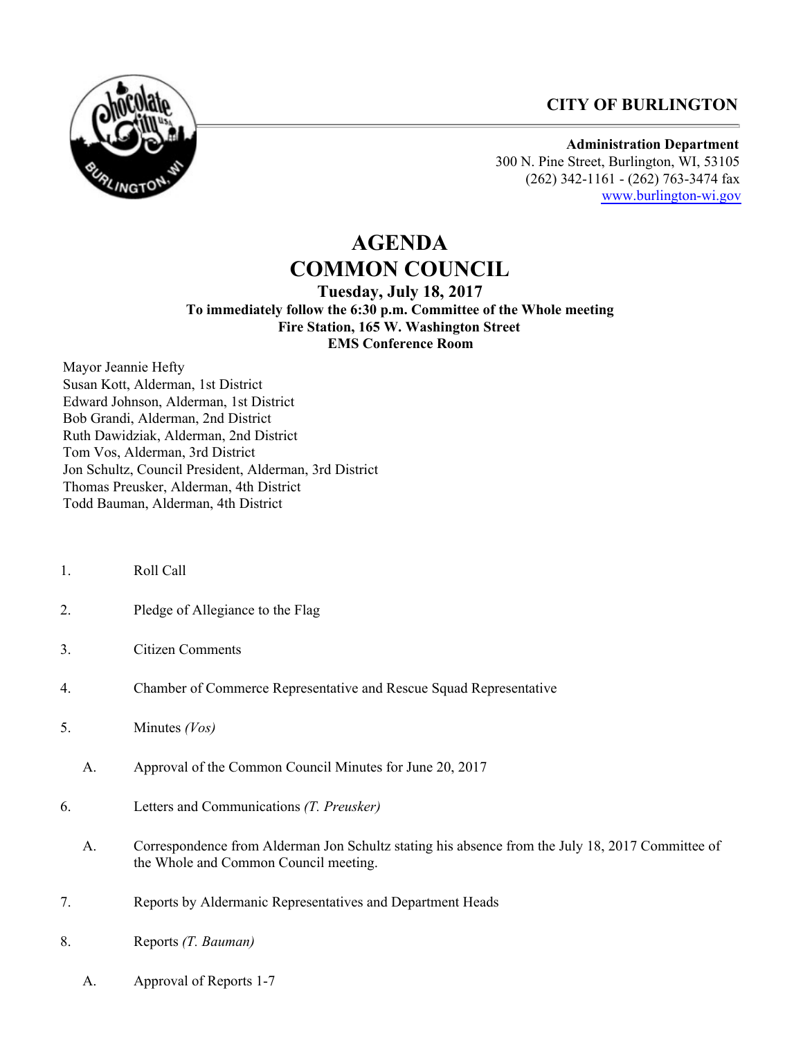## **CITY OF BURLINGTON**



**Administration Department** 300 N. Pine Street, Burlington, WI, 53105 (262) 342-1161 - (262) 763-3474 fax [www.burlington-wi.gov](http://www.burlington-wi.gov)

# **AGENDA COMMON COUNCIL**

**Tuesday, July 18, 2017 To immediately follow the 6:30 p.m. Committee of the Whole meeting Fire Station, 165 W. Washington Street EMS Conference Room**

Mayor Jeannie Hefty Susan Kott, Alderman, 1st District Edward Johnson, Alderman, 1st District Bob Grandi, Alderman, 2nd District Ruth Dawidziak, Alderman, 2nd District Tom Vos, Alderman, 3rd District Jon Schultz, Council President, Alderman, 3rd District Thomas Preusker, Alderman, 4th District Todd Bauman, Alderman, 4th District

- 1. Roll Call
- 2. Pledge of Allegiance to the Flag
- 3. Citizen Comments
- 4. Chamber of Commerce Representative and Rescue Squad Representative
- 5. Minutes *(Vos)*
	- A. Approval of the Common Council Minutes for June 20, 2017
- 6. Letters and Communications *(T. Preusker)*
	- A. Correspondence from Alderman Jon Schultz stating his absence from the July 18, 2017 Committee of the Whole and Common Council meeting.
- 7. Reports by Aldermanic Representatives and Department Heads
- 8. Reports *(T. Bauman)*
	- A. Approval of Reports 1-7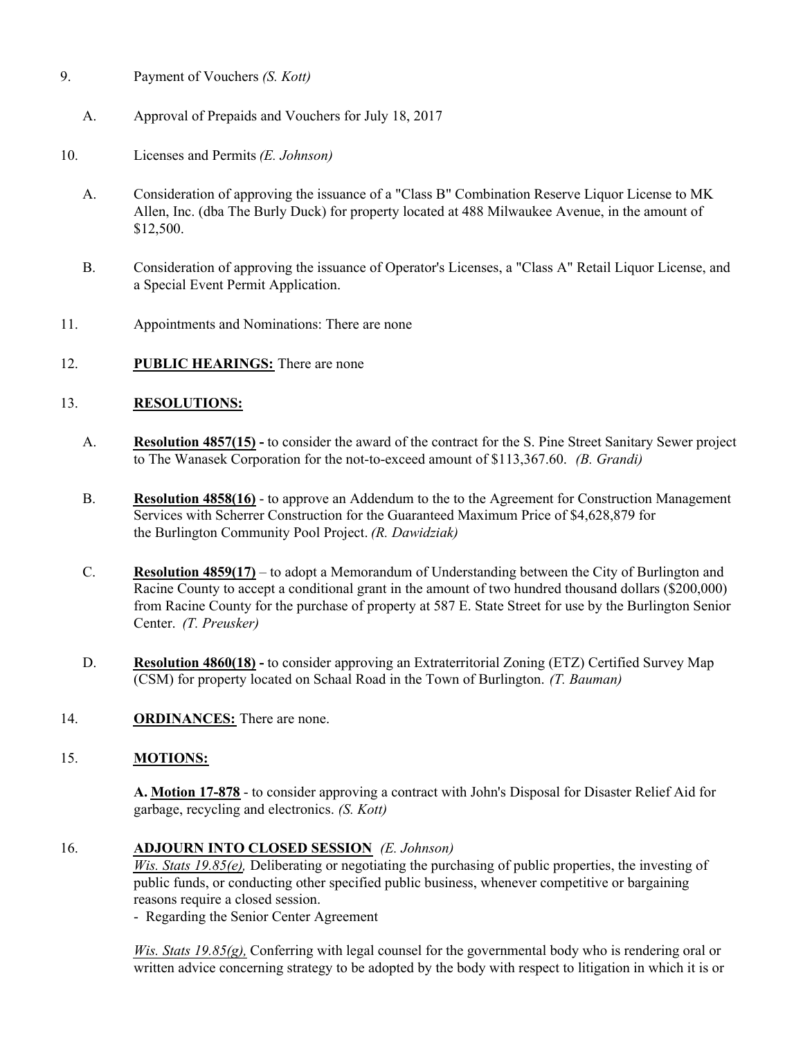- 9. Payment of Vouchers *(S. Kott)*
	- A. Approval of Prepaids and Vouchers for July 18, 2017
- 10. Licenses and Permits *(E. Johnson)*
	- A. Consideration of approving the issuance of a "Class B" Combination Reserve Liquor License to MK Allen, Inc. (dba The Burly Duck) for property located at 488 Milwaukee Avenue, in the amount of \$12,500.
	- B. Consideration of approving the issuance of Operator's Licenses, a "Class A" Retail Liquor License, and a Special Event Permit Application.
- 11. Appointments and Nominations: There are none
- 12. **PUBLIC HEARINGS:** There are none

#### 13. **RESOLUTIONS:**

- A. **Resolution 4857(15)** to consider the award of the contract for the S. Pine Street Sanitary Sewer project to The Wanasek Corporation for the not-to-exceed amount of \$113,367.60. *(B. Grandi)*
- B. **Resolution 4858(16)** to approve an Addendum to the to the Agreement for Construction Management Services with Scherrer Construction for the Guaranteed Maximum Price of \$4,628,879 for the Burlington Community Pool Project. *(R. Dawidziak)*
- C. **Resolution 4859(17)** to adopt a Memorandum of Understanding between the City of Burlington and Racine County to accept a conditional grant in the amount of two hundred thousand dollars (\$200,000) from Racine County for the purchase of property at 587 E. State Street for use by the Burlington Senior Center. *(T. Preusker)*
- D. **Resolution 4860(18)** to consider approving an Extraterritorial Zoning (ETZ) Certified Survey Map (CSM) for property located on Schaal Road in the Town of Burlington. *(T. Bauman)*
- 14. **ORDINANCES:** There are none.

#### 15. **MOTIONS:**

**A. Motion 17-878** - to consider approving a contract with John's Disposal for Disaster Relief Aid for garbage, recycling and electronics. *(S. Kott)*

#### 16. **ADJOURN INTO CLOSED SESSION** *(E. Johnson)*

*Wis. Stats 19.85(e),* Deliberating or negotiating the purchasing of public properties, the investing of public funds, or conducting other specified public business, whenever competitive or bargaining reasons require a closed session.

- Regarding the Senior Center Agreement

*Wis. Stats 19.85(g),* Conferring with legal counsel for the governmental body who is rendering oral or written advice concerning strategy to be adopted by the body with respect to litigation in which it is or